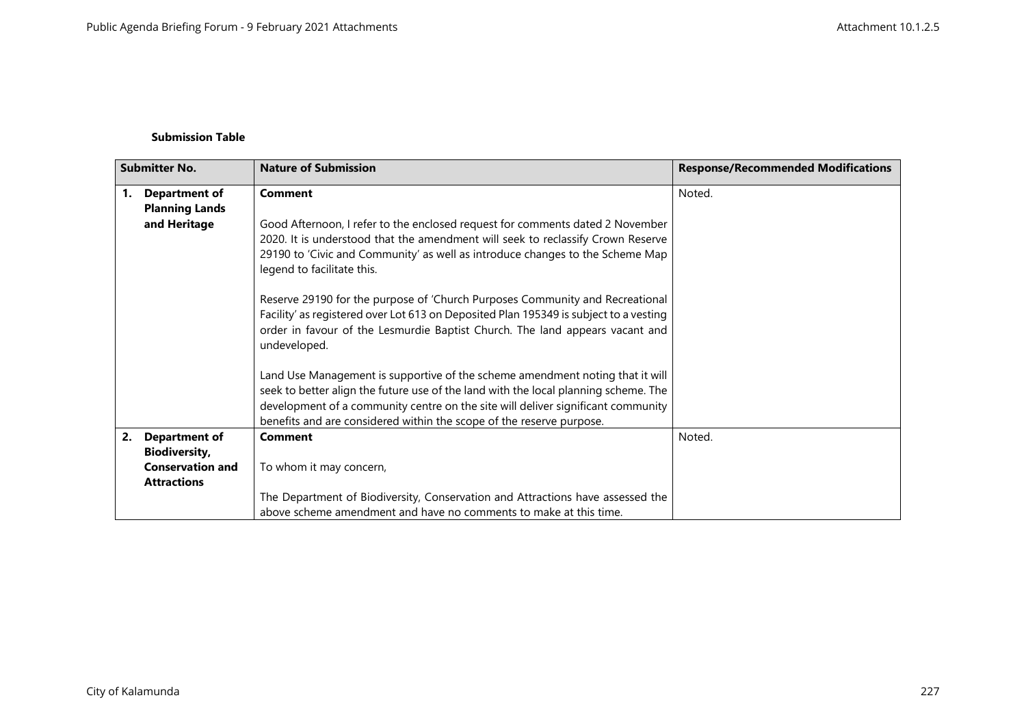## **Submission Table**

| <b>Submitter No.</b> |                                                                       | <b>Nature of Submission</b>                                                                                                                                                                                                                                                                                                      | <b>Response/Recommended Modifications</b> |
|----------------------|-----------------------------------------------------------------------|----------------------------------------------------------------------------------------------------------------------------------------------------------------------------------------------------------------------------------------------------------------------------------------------------------------------------------|-------------------------------------------|
| 1.                   | <b>Department of</b><br><b>Planning Lands</b>                         | <b>Comment</b>                                                                                                                                                                                                                                                                                                                   | Noted.                                    |
|                      | and Heritage                                                          | Good Afternoon, I refer to the enclosed request for comments dated 2 November<br>2020. It is understood that the amendment will seek to reclassify Crown Reserve<br>29190 to 'Civic and Community' as well as introduce changes to the Scheme Map<br>legend to facilitate this.                                                  |                                           |
|                      |                                                                       | Reserve 29190 for the purpose of 'Church Purposes Community and Recreational<br>Facility' as registered over Lot 613 on Deposited Plan 195349 is subject to a vesting<br>order in favour of the Lesmurdie Baptist Church. The land appears vacant and<br>undeveloped.                                                            |                                           |
|                      |                                                                       | Land Use Management is supportive of the scheme amendment noting that it will<br>seek to better align the future use of the land with the local planning scheme. The<br>development of a community centre on the site will deliver significant community<br>benefits and are considered within the scope of the reserve purpose. |                                           |
| 2.                   | <b>Department of</b>                                                  | <b>Comment</b>                                                                                                                                                                                                                                                                                                                   | Noted.                                    |
|                      | <b>Biodiversity,</b><br><b>Conservation and</b><br><b>Attractions</b> | To whom it may concern,                                                                                                                                                                                                                                                                                                          |                                           |
|                      |                                                                       | The Department of Biodiversity, Conservation and Attractions have assessed the<br>above scheme amendment and have no comments to make at this time.                                                                                                                                                                              |                                           |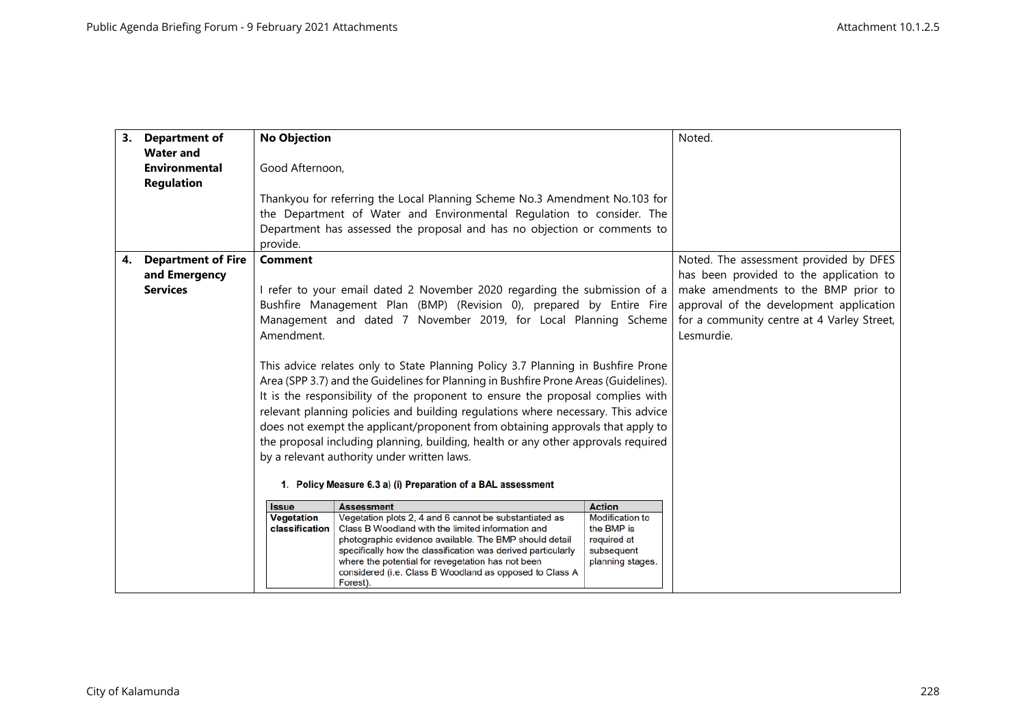|    | 3. Department of          | <b>No Objection</b>                                                                                                                                                |                                                                                                              |                                      | Noted.                                     |
|----|---------------------------|--------------------------------------------------------------------------------------------------------------------------------------------------------------------|--------------------------------------------------------------------------------------------------------------|--------------------------------------|--------------------------------------------|
|    | <b>Water and</b>          |                                                                                                                                                                    |                                                                                                              |                                      |                                            |
|    | <b>Environmental</b>      | Good Afternoon,                                                                                                                                                    |                                                                                                              |                                      |                                            |
|    | <b>Regulation</b>         |                                                                                                                                                                    |                                                                                                              |                                      |                                            |
|    |                           |                                                                                                                                                                    | Thankyou for referring the Local Planning Scheme No.3 Amendment No.103 for                                   |                                      |                                            |
|    |                           |                                                                                                                                                                    | the Department of Water and Environmental Regulation to consider. The                                        |                                      |                                            |
|    |                           |                                                                                                                                                                    | Department has assessed the proposal and has no objection or comments to                                     |                                      |                                            |
|    |                           | provide.                                                                                                                                                           |                                                                                                              |                                      |                                            |
| 4. | <b>Department of Fire</b> | <b>Comment</b>                                                                                                                                                     |                                                                                                              |                                      | Noted. The assessment provided by DFES     |
|    | and Emergency             |                                                                                                                                                                    |                                                                                                              |                                      | has been provided to the application to    |
|    | <b>Services</b>           |                                                                                                                                                                    | I refer to your email dated 2 November 2020 regarding the submission of a                                    |                                      | make amendments to the BMP prior to        |
|    |                           |                                                                                                                                                                    | Bushfire Management Plan (BMP) (Revision 0), prepared by Entire Fire                                         |                                      | approval of the development application    |
|    |                           |                                                                                                                                                                    | Management and dated 7 November 2019, for Local Planning Scheme                                              |                                      | for a community centre at 4 Varley Street, |
|    |                           | Amendment.                                                                                                                                                         |                                                                                                              |                                      | Lesmurdie.                                 |
|    |                           |                                                                                                                                                                    |                                                                                                              |                                      |                                            |
|    |                           | This advice relates only to State Planning Policy 3.7 Planning in Bushfire Prone                                                                                   |                                                                                                              |                                      |                                            |
|    |                           | Area (SPP 3.7) and the Guidelines for Planning in Bushfire Prone Areas (Guidelines).                                                                               |                                                                                                              |                                      |                                            |
|    |                           | It is the responsibility of the proponent to ensure the proposal complies with                                                                                     |                                                                                                              |                                      |                                            |
|    |                           | relevant planning policies and building regulations where necessary. This advice<br>does not exempt the applicant/proponent from obtaining approvals that apply to |                                                                                                              |                                      |                                            |
|    |                           |                                                                                                                                                                    | the proposal including planning, building, health or any other approvals required                            |                                      |                                            |
|    |                           |                                                                                                                                                                    |                                                                                                              |                                      |                                            |
|    |                           | by a relevant authority under written laws.                                                                                                                        |                                                                                                              |                                      |                                            |
|    |                           | 1. Policy Measure 6.3 a) (i) Preparation of a BAL assessment                                                                                                       |                                                                                                              |                                      |                                            |
|    |                           | <b>Issue</b>                                                                                                                                                       | <b>Assessment</b>                                                                                            | <b>Action</b>                        |                                            |
|    |                           | <b>Vegetation</b>                                                                                                                                                  | Vegetation plots 2, 4 and 6 cannot be substantiated as                                                       | <b>Modification to</b><br>the BMP is |                                            |
|    |                           | classification                                                                                                                                                     | Class B Woodland with the limited information and<br>photographic evidence available. The BMP should detail  | required at                          |                                            |
|    |                           |                                                                                                                                                                    | specifically how the classification was derived particularly                                                 | subsequent                           |                                            |
|    |                           |                                                                                                                                                                    | where the potential for revegetation has not been<br>considered (i.e. Class B Woodland as opposed to Class A | planning stages.                     |                                            |
|    |                           |                                                                                                                                                                    | Forest).                                                                                                     |                                      |                                            |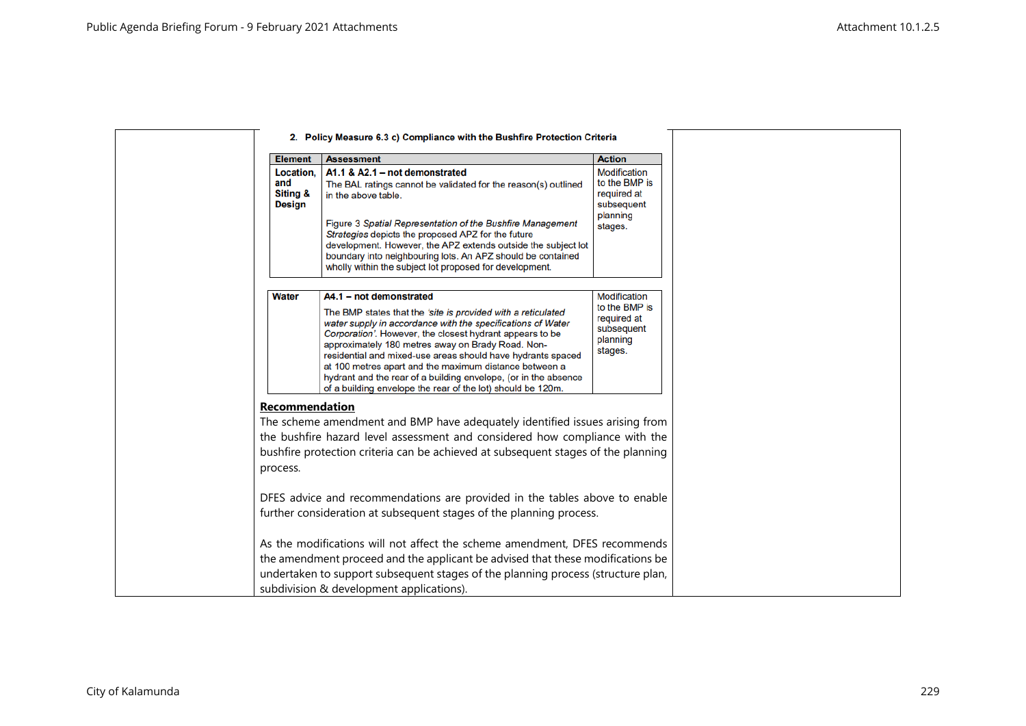|                                               | 2. Policy Measure 6.3 c) Compliance with the Bushfire Protection Criteria                                                                                                                                                                                                                                                                                                                                                                                                                                                          |                                                                                          |
|-----------------------------------------------|------------------------------------------------------------------------------------------------------------------------------------------------------------------------------------------------------------------------------------------------------------------------------------------------------------------------------------------------------------------------------------------------------------------------------------------------------------------------------------------------------------------------------------|------------------------------------------------------------------------------------------|
| <b>Element</b>                                | <b>Assessment</b>                                                                                                                                                                                                                                                                                                                                                                                                                                                                                                                  | <b>Action</b>                                                                            |
| Location,<br>and<br>Siting &<br><b>Design</b> | A1.1 & A2.1 - not demonstrated<br>The BAL ratings cannot be validated for the reason(s) outlined<br>in the above table.<br>Figure 3 Spatial Representation of the Bushfire Management<br>Strategies depicts the proposed APZ for the future<br>development. However, the APZ extends outside the subject lot<br>boundary into neighbouring lots. An APZ should be contained<br>wholly within the subject lot proposed for development.                                                                                             | <b>Modification</b><br>to the BMP is<br>required at<br>subsequent<br>planning<br>stages. |
| <b>Water</b>                                  | A4.1 - not demonstrated<br>The BMP states that the 'site is provided with a reticulated<br>water supply in accordance with the specifications of Water<br>Corporation'. However, the closest hydrant appears to be<br>approximately 180 metres away on Brady Road. Non-<br>residential and mixed-use areas should have hydrants spaced<br>at 100 metres apart and the maximum distance between a<br>hydrant and the rear of a building envelope, (or in the absence<br>of a building envelope the rear of the lot) should be 120m. | Modification<br>to the BMP is<br>required at<br>subsequent<br>planning<br>stages.        |
| Recommendation<br>process.                    | The scheme amendment and BMP have adequately identified issues arising from<br>the bushfire hazard level assessment and considered how compliance with the<br>bushfire protection criteria can be achieved at subsequent stages of the planning                                                                                                                                                                                                                                                                                    |                                                                                          |
|                                               | DFES advice and recommendations are provided in the tables above to enable<br>further consideration at subsequent stages of the planning process.<br>As the modifications will not affect the scheme amendment, DFES recommends<br>the amendment proceed and the applicant be advised that these modifications be<br>undertaken to support subsequent stages of the planning process (structure plan,<br>subdivision & development applications).                                                                                  |                                                                                          |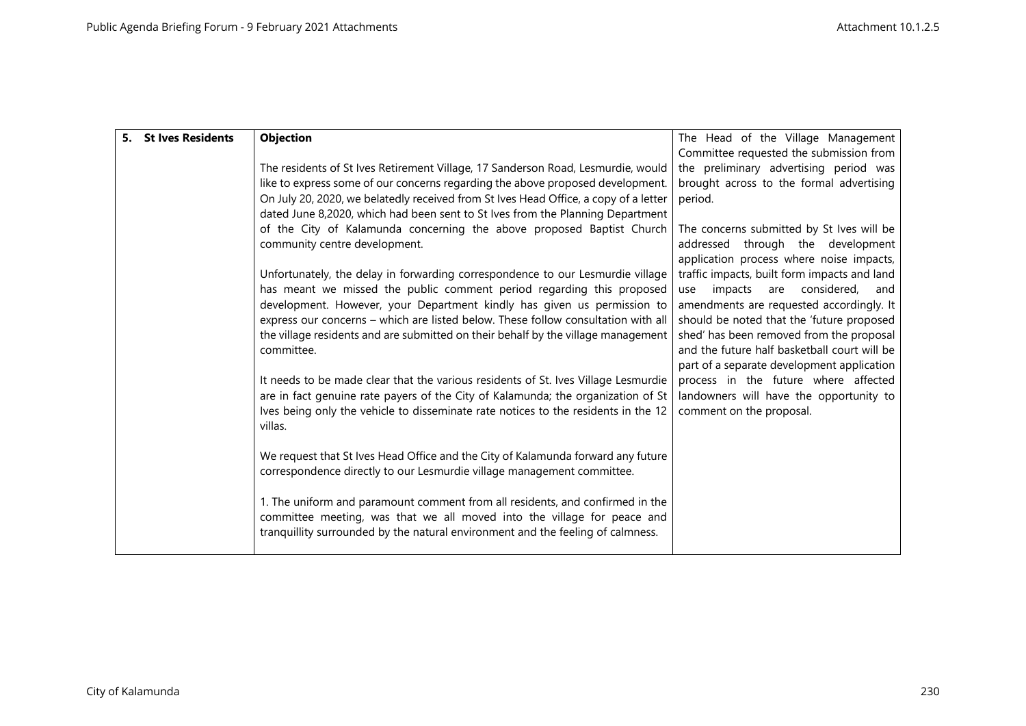| 5. St Ives Residents | <b>Objection</b>                                                                                                                                                       | The Head of the Village Management                                                 |
|----------------------|------------------------------------------------------------------------------------------------------------------------------------------------------------------------|------------------------------------------------------------------------------------|
|                      |                                                                                                                                                                        | Committee requested the submission from                                            |
|                      | The residents of St Ives Retirement Village, 17 Sanderson Road, Lesmurdie, would                                                                                       | the preliminary advertising period was                                             |
|                      | like to express some of our concerns regarding the above proposed development.                                                                                         | brought across to the formal advertising                                           |
|                      | On July 20, 2020, we belatedly received from St Ives Head Office, a copy of a letter                                                                                   | period.                                                                            |
|                      | dated June 8,2020, which had been sent to St Ives from the Planning Department                                                                                         |                                                                                    |
|                      | of the City of Kalamunda concerning the above proposed Baptist Church                                                                                                  | The concerns submitted by St Ives will be                                          |
|                      | community centre development.                                                                                                                                          | addressed through the development                                                  |
|                      |                                                                                                                                                                        | application process where noise impacts,                                           |
|                      | Unfortunately, the delay in forwarding correspondence to our Lesmurdie village                                                                                         | traffic impacts, built form impacts and land                                       |
|                      | has meant we missed the public comment period regarding this proposed                                                                                                  | considered,<br>impacts<br>are<br>and<br>use                                        |
|                      | development. However, your Department kindly has given us permission to                                                                                                | amendments are requested accordingly. It                                           |
|                      | express our concerns - which are listed below. These follow consultation with all                                                                                      | should be noted that the 'future proposed                                          |
|                      | the village residents and are submitted on their behalf by the village management                                                                                      | shed' has been removed from the proposal                                           |
|                      | committee.                                                                                                                                                             | and the future half basketball court will be                                       |
|                      | It needs to be made clear that the various residents of St. Ives Village Lesmurdie                                                                                     | part of a separate development application<br>process in the future where affected |
|                      |                                                                                                                                                                        |                                                                                    |
|                      | are in fact genuine rate payers of the City of Kalamunda; the organization of St<br>Ives being only the vehicle to disseminate rate notices to the residents in the 12 | landowners will have the opportunity to<br>comment on the proposal.                |
|                      | villas.                                                                                                                                                                |                                                                                    |
|                      |                                                                                                                                                                        |                                                                                    |
|                      | We request that St Ives Head Office and the City of Kalamunda forward any future                                                                                       |                                                                                    |
|                      | correspondence directly to our Lesmurdie village management committee.                                                                                                 |                                                                                    |
|                      |                                                                                                                                                                        |                                                                                    |
|                      | 1. The uniform and paramount comment from all residents, and confirmed in the                                                                                          |                                                                                    |
|                      | committee meeting, was that we all moved into the village for peace and                                                                                                |                                                                                    |
|                      | tranquillity surrounded by the natural environment and the feeling of calmness.                                                                                        |                                                                                    |
|                      |                                                                                                                                                                        |                                                                                    |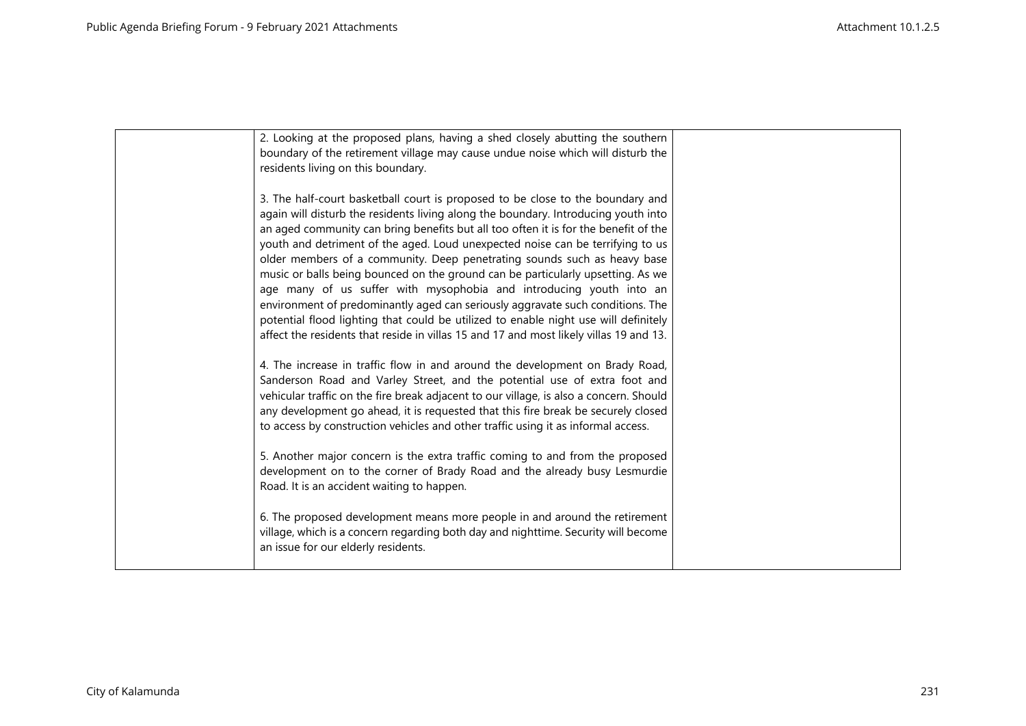| 2. Looking at the proposed plans, having a shed closely abutting the southern<br>boundary of the retirement village may cause undue noise which will disturb the<br>residents living on this boundary.                                                                                                                                                                                                                                                                                                                                                                                                                                                                                                                                                                                                                                                 |  |
|--------------------------------------------------------------------------------------------------------------------------------------------------------------------------------------------------------------------------------------------------------------------------------------------------------------------------------------------------------------------------------------------------------------------------------------------------------------------------------------------------------------------------------------------------------------------------------------------------------------------------------------------------------------------------------------------------------------------------------------------------------------------------------------------------------------------------------------------------------|--|
| 3. The half-court basketball court is proposed to be close to the boundary and<br>again will disturb the residents living along the boundary. Introducing youth into<br>an aged community can bring benefits but all too often it is for the benefit of the<br>youth and detriment of the aged. Loud unexpected noise can be terrifying to us<br>older members of a community. Deep penetrating sounds such as heavy base<br>music or balls being bounced on the ground can be particularly upsetting. As we<br>age many of us suffer with mysophobia and introducing youth into an<br>environment of predominantly aged can seriously aggravate such conditions. The<br>potential flood lighting that could be utilized to enable night use will definitely<br>affect the residents that reside in villas 15 and 17 and most likely villas 19 and 13. |  |
| 4. The increase in traffic flow in and around the development on Brady Road,<br>Sanderson Road and Varley Street, and the potential use of extra foot and<br>vehicular traffic on the fire break adjacent to our village, is also a concern. Should<br>any development go ahead, it is requested that this fire break be securely closed<br>to access by construction vehicles and other traffic using it as informal access.                                                                                                                                                                                                                                                                                                                                                                                                                          |  |
| 5. Another major concern is the extra traffic coming to and from the proposed<br>development on to the corner of Brady Road and the already busy Lesmurdie<br>Road. It is an accident waiting to happen.                                                                                                                                                                                                                                                                                                                                                                                                                                                                                                                                                                                                                                               |  |
| 6. The proposed development means more people in and around the retirement<br>village, which is a concern regarding both day and nighttime. Security will become<br>an issue for our elderly residents.                                                                                                                                                                                                                                                                                                                                                                                                                                                                                                                                                                                                                                                |  |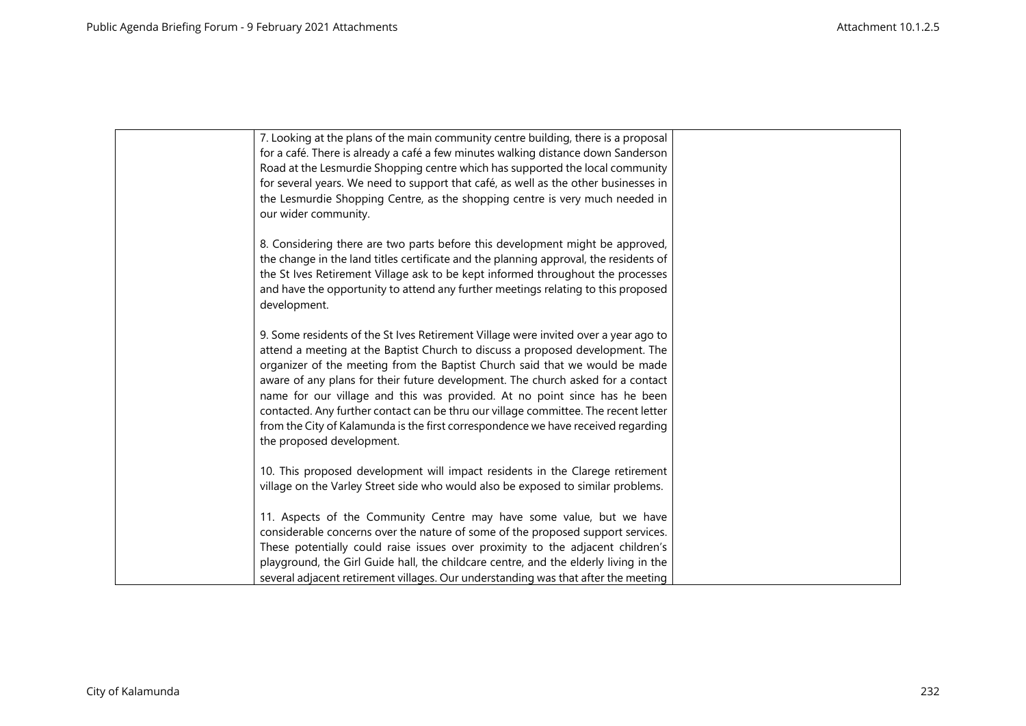| 7. Looking at the plans of the main community centre building, there is a proposal<br>for a café. There is already a café a few minutes walking distance down Sanderson<br>Road at the Lesmurdie Shopping centre which has supported the local community<br>for several years. We need to support that café, as well as the other businesses in<br>the Lesmurdie Shopping Centre, as the shopping centre is very much needed in<br>our wider community.                                                                                                                                                                      |  |
|------------------------------------------------------------------------------------------------------------------------------------------------------------------------------------------------------------------------------------------------------------------------------------------------------------------------------------------------------------------------------------------------------------------------------------------------------------------------------------------------------------------------------------------------------------------------------------------------------------------------------|--|
| 8. Considering there are two parts before this development might be approved,<br>the change in the land titles certificate and the planning approval, the residents of<br>the St Ives Retirement Village ask to be kept informed throughout the processes<br>and have the opportunity to attend any further meetings relating to this proposed<br>development.                                                                                                                                                                                                                                                               |  |
| 9. Some residents of the St Ives Retirement Village were invited over a year ago to<br>attend a meeting at the Baptist Church to discuss a proposed development. The<br>organizer of the meeting from the Baptist Church said that we would be made<br>aware of any plans for their future development. The church asked for a contact<br>name for our village and this was provided. At no point since has he been<br>contacted. Any further contact can be thru our village committee. The recent letter<br>from the City of Kalamunda is the first correspondence we have received regarding<br>the proposed development. |  |
| 10. This proposed development will impact residents in the Clarege retirement<br>village on the Varley Street side who would also be exposed to similar problems.                                                                                                                                                                                                                                                                                                                                                                                                                                                            |  |
| 11. Aspects of the Community Centre may have some value, but we have<br>considerable concerns over the nature of some of the proposed support services.<br>These potentially could raise issues over proximity to the adjacent children's<br>playground, the Girl Guide hall, the childcare centre, and the elderly living in the<br>several adjacent retirement villages. Our understanding was that after the meeting                                                                                                                                                                                                      |  |